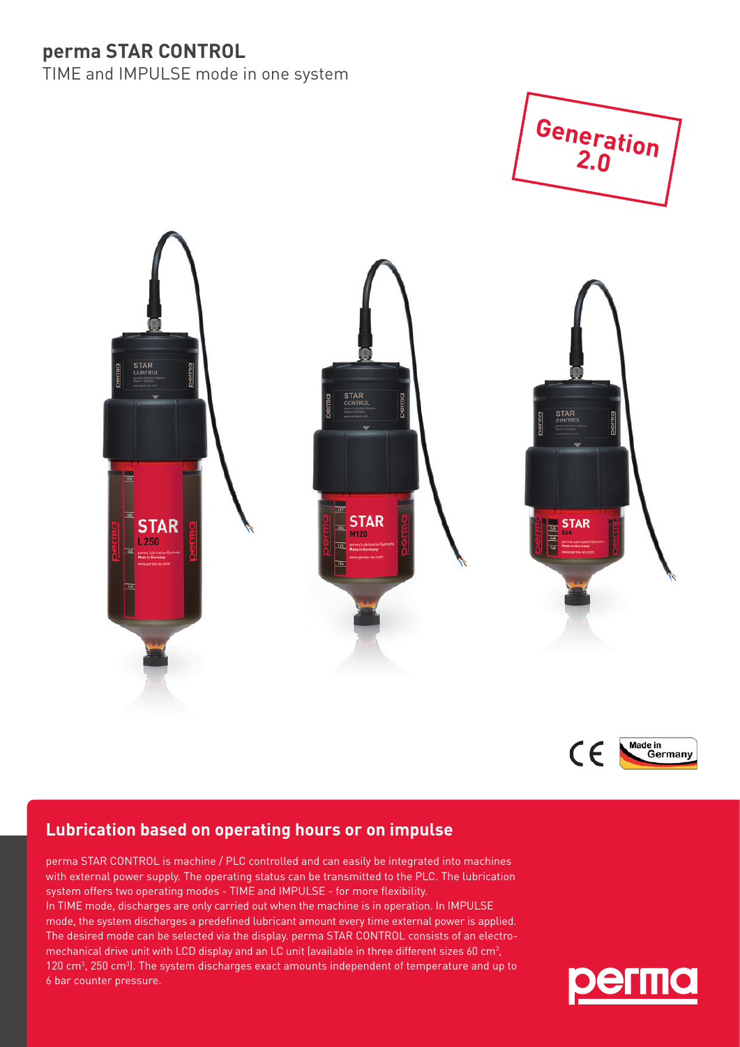## **perma STAR CONTROL**

TIME and IMPULSE mode in one system







## **Lubrication based on operating hours or on impulse**

perma STAR CONTROL is machine / PLC controlled and can easily be integrated into machines with external power supply. The operating status can be transmitted to the PLC. The lubrication system offers two operating modes - TIME and IMPULSE - for more flexibility. In TIME mode, discharges are only carried out when the machine is in operation. In IMPULSE mode, the system discharges a predefined lubricant amount every time external power is applied. The desired mode can be selected via the display. perma STAR CONTROL consists of an electromechanical drive unit with LCD display and an LC unit (available in three different sizes 60 cm3 , 120 cm $^3$ , 250 cm $^3$ ). The system discharges exact amounts independent of temperature and up to 6 bar counter pressure.